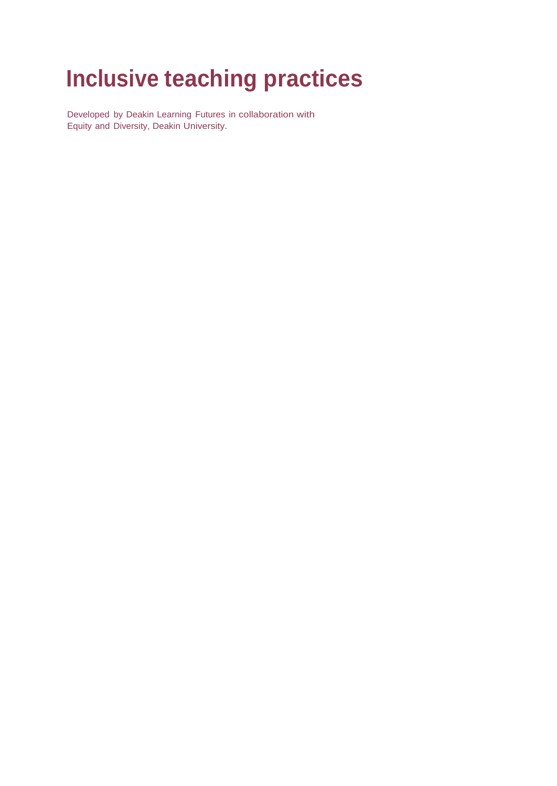# **Inclusive teaching practices**

Developed by Deakin Learning Futures in collaboration with Equity and Diversity, Deakin University.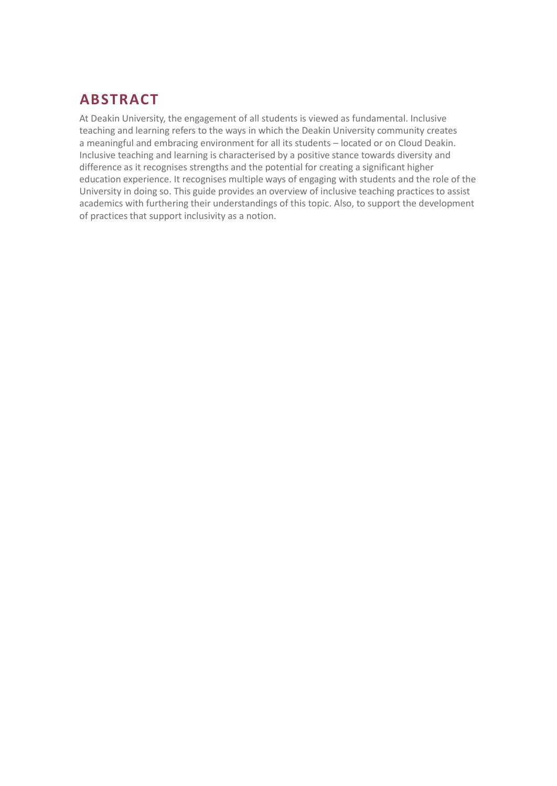# **ABSTRACT**

At Deakin University, the engagement of all students is viewed as fundamental. Inclusive teaching and learning refers to the ways in which the Deakin University community creates a meaningful and embracing environment for all its students – located or on Cloud Deakin. Inclusive teaching and learning is characterised by a positive stance towards diversity and difference as it recognises strengths and the potential for creating a significant higher education experience. It recognises multiple ways of engaging with students and the role of the University in doing so. This guide provides an overview of inclusive teaching practices to assist academics with furthering their understandings of this topic. Also, to support the development of practices that support inclusivity as a notion.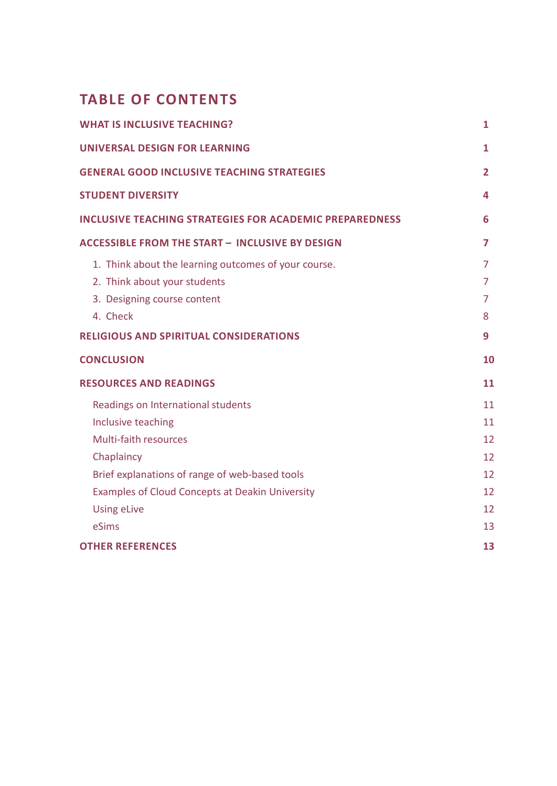# **TABLE OF CONTENTS**

| <b>WHAT IS INCLUSIVE TEACHING?</b>                             | 1  |
|----------------------------------------------------------------|----|
| <b>UNIVERSAL DESIGN FOR LEARNING</b>                           | 1  |
| <b>GENERAL GOOD INCLUSIVE TEACHING STRATEGIES</b>              | 2  |
| <b>STUDENT DIVERSITY</b>                                       | 4  |
| <b>INCLUSIVE TEACHING STRATEGIES FOR ACADEMIC PREPAREDNESS</b> | 6  |
| <b>ACCESSIBLE FROM THE START - INCLUSIVE BY DESIGN</b>         | 7  |
| 1. Think about the learning outcomes of your course.           | 7  |
| 2. Think about your students                                   | 7  |
| 3. Designing course content                                    | 7  |
| 4. Check                                                       | 8  |
| <b>RELIGIOUS AND SPIRITUAL CONSIDERATIONS</b>                  | 9  |
| <b>CONCLUSION</b>                                              | 10 |
| <b>RESOURCES AND READINGS</b>                                  | 11 |
| Readings on International students                             | 11 |
| Inclusive teaching                                             | 11 |
| Multi-faith resources                                          | 12 |
| Chaplaincy                                                     | 12 |
| Brief explanations of range of web-based tools                 | 12 |
| Examples of Cloud Concepts at Deakin University                | 12 |
| <b>Using eLive</b>                                             | 12 |
| eSims                                                          | 13 |
| <b>OTHER REFERENCES</b>                                        | 13 |
|                                                                |    |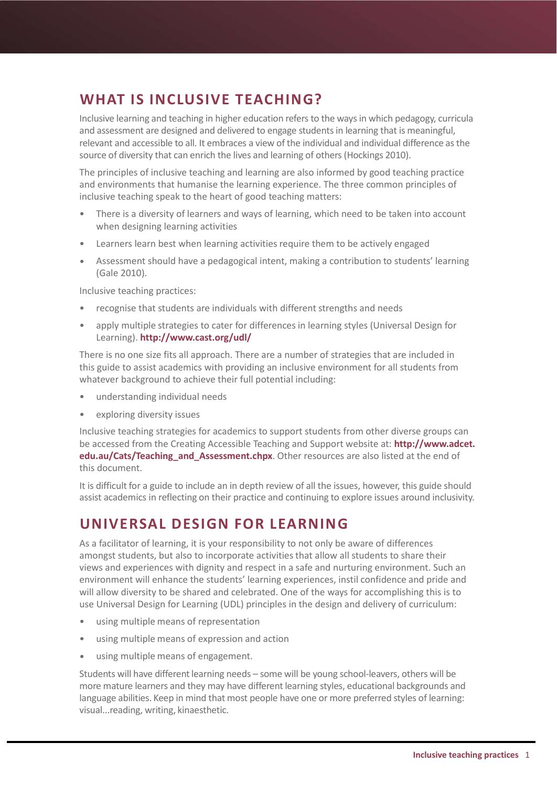# **WHAT IS INCLUSIVE TEACHING?**

Inclusive learning and teaching in higher education refers to the waysin which pedagogy, curricula and assessment are designed and delivered to engage studentsin learning that is meaningful, relevant and accessible to all. It embraces a view of the individual and individual difference as the source of diversity that can enrich the lives and learning of others (Hockings 2010).

The principles of inclusive teaching and learning are also informed by good teaching practice and environments that humanise the learning experience. The three common principles of inclusive teaching speak to the heart of good teaching matters:

- There is a diversity of learners and ways of learning, which need to be taken into account when designing learning activities
- Learners learn best when learning activities require them to be actively engaged •
- Assessment should have a pedagogical intent, making a contribution to students' learning (Gale 2010). •

Inclusive teaching practices:

- recognise that students are individuals with different strengths and needs
- apply multiple strategies to cater for differences in learning styles (Universal Design for Learning). **[http://www.cast.org/](http://www.cast.org/udl)udl/**

There is no one size fits all approach. There are a number of strategies that are included in this guide to assist academics with providing an inclusive environment for all students from whatever background to achieve their full potential including:

- understanding individual needs
- exploring diversity issues

Inclusive teaching strategies for academics to support students from other diverse groups can be accessed from the Creating Accessible Teaching and Support website at: **[http://www.adcet.](http://www.adcet.edu.au/Cats/Teaching_and_Assessment.chpx) edu.au/Cats/Teaching and Assessment.chpx**. Other resources are also listed at the end of this document.

It is difficult for a guide to include an in depth review of all the issues, however, this guide should assist academics in reflecting on their practice and continuing to explore issues around inclusivity.

# **UNIVERSAL DESIGN FOR LEARNING**

As a facilitator of learning, it is your responsibility to not only be aware of differences amongst students, but also to incorporate activities that allow all students to share their views and experiences with dignity and respect in a safe and nurturing environment. Such an environment will enhance the students' learning experiences, instil confidence and pride and will allow diversity to be shared and celebrated. One of the ways for accomplishing this is to use Universal Design for Learning (UDL) principles in the design and delivery of curriculum:

- using multiple means of representation
- using multiple means of expression and action
- using multiple means of engagement.

Students will have different learning needs – some will be young school-leavers, others will be more mature learners and they may have different learning styles, educational backgrounds and language abilities. Keep in mind that most people have one or more preferred styles of learning: visual...reading, writing, kinaesthetic.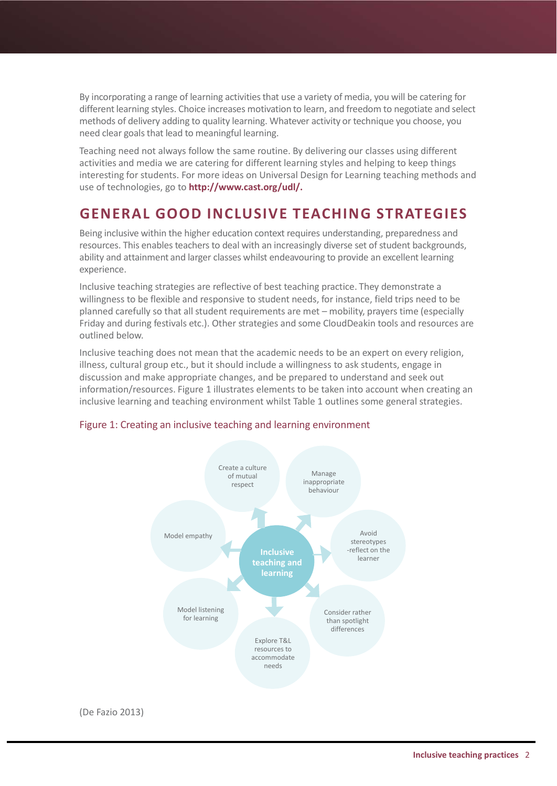By incorporating a range of learning activities that use a variety of media, you will be catering for different learning styles. Choice increases motivation to learn, and freedom to negotiate and select methods of delivery adding to quality learning. Whatever activity or technique you choose, you need clear goals that lead to meaningful learning.

Teaching need not always follow the same routine. By delivering our classes using different activities and media we are catering for different learning styles and helping to keep things interesting for students. For more ideas on Universal Design for Learning teaching methods and use of technologies, go to **[http://www.cast.org/](http://www.cast.org/udl)udl/.**

### **GENERAL GOOD INCLUSIVE TEACHING STRATEGIES**

Being inclusive within the higher education context requires understanding, preparedness and resources. This enables teachers to deal with an increasingly diverse set of student backgrounds, ability and attainment and larger classes whilst endeavouring to provide an excellent learning experience.

Inclusive teaching strategies are reflective of best teaching practice. They demonstrate a willingness to be flexible and responsive to student needs, for instance, field trips need to be planned carefully so that all student requirements are met – mobility, prayers time (especially Friday and during festivals etc.). Other strategies and some CloudDeakin tools and resources are outlined below.

Inclusive teaching does not mean that the academic needs to be an expert on every religion, illness, cultural group etc., but it should include a willingness to ask students, engage in discussion and make appropriate changes, and be prepared to understand and seek out information/resources. Figure 1 illustrates elements to be taken into account when creating an inclusive learning and teaching environment whilst Table 1 outlines some general strategies.



#### Figure 1: Creating an inclusive teaching and learning environment

(De Fazio 2013)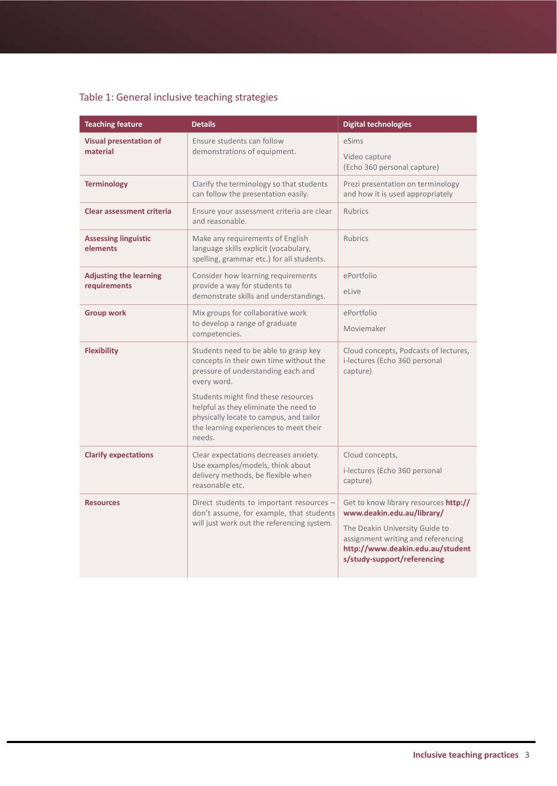### Table 1: General inclusive teaching strategies

| <b>Teaching feature</b>                       | <b>Details</b>                                                                                                                                                                                                                                                                                                      | <b>Digital technologies</b>                                                                                                                                                                                    |
|-----------------------------------------------|---------------------------------------------------------------------------------------------------------------------------------------------------------------------------------------------------------------------------------------------------------------------------------------------------------------------|----------------------------------------------------------------------------------------------------------------------------------------------------------------------------------------------------------------|
| <b>Visual presentation of</b><br>material     | Ensure students can follow<br>demonstrations of equipment.                                                                                                                                                                                                                                                          | eSims<br>Video capture<br>(Echo 360 personal capture)                                                                                                                                                          |
| <b>Terminology</b>                            | Clarify the terminology so that students<br>can follow the presentation easily.                                                                                                                                                                                                                                     | Prezi presentation on terminology<br>and how it is used appropriately                                                                                                                                          |
| <b>Clear assessment criteria</b>              | Ensure your assessment criteria are clear<br>and reasonable.                                                                                                                                                                                                                                                        | <b>Rubrics</b>                                                                                                                                                                                                 |
| <b>Assessing linguistic</b><br>elements       | Make any requirements of English<br>language skills explicit (vocabulary,<br>spelling, grammar etc.) for all students.                                                                                                                                                                                              | <b>Rubrics</b>                                                                                                                                                                                                 |
| <b>Adjusting the learning</b><br>requirements | Consider how learning requirements<br>provide a way for students to<br>demonstrate skills and understandings.                                                                                                                                                                                                       | ePortfolio<br>eLive                                                                                                                                                                                            |
| <b>Group work</b>                             | Mix groups for collaborative work<br>to develop a range of graduate<br>competencies.                                                                                                                                                                                                                                | ePortfolio<br>Moviemaker                                                                                                                                                                                       |
| <b>Flexibility</b>                            | Students need to be able to grasp key<br>concepts in their own time without the<br>pressure of understanding each and<br>every word.<br>Students might find these resources<br>helpful as they eliminate the need to<br>physically locate to campus, and tailor<br>the learning experiences to meet their<br>needs. | Cloud concepts, Podcasts of lectures,<br>i-lectures (Echo 360 personal<br>capture)                                                                                                                             |
| <b>Clarify expectations</b>                   | Clear expectations decreases anxiety.<br>Use examples/models, think about<br>delivery methods, be flexible when<br>reasonable etc.                                                                                                                                                                                  | Cloud concepts,<br>i-lectures (Echo 360 personal<br>capture)                                                                                                                                                   |
| <b>Resources</b>                              | Direct students to important resources -<br>don't assume, for example, that students<br>will just work out the referencing system.                                                                                                                                                                                  | Get to know library resources http://<br>www.deakin.edu.au/library/<br>The Deakin University Guide to<br>assignment writing and referencing<br>http://www.deakin.edu.au/student<br>s/study-support/referencing |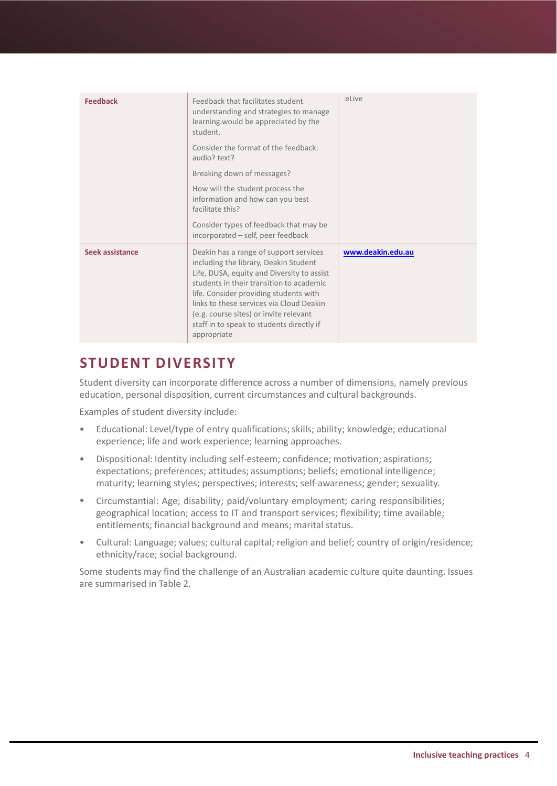| <b>Feedback</b> | Feedback that facilitates student<br>understanding and strategies to manage<br>learning would be appreciated by the<br>student.<br>Consider the format of the feedback:<br>audio? text?<br>Breaking down of messages?<br>How will the student process the<br>information and how can you best<br>facilitate this?<br>Consider types of feedback that may be<br>incorporated - self, peer feedback | eLive             |
|-----------------|---------------------------------------------------------------------------------------------------------------------------------------------------------------------------------------------------------------------------------------------------------------------------------------------------------------------------------------------------------------------------------------------------|-------------------|
| Seek assistance | Deakin has a range of support services<br>including the library, Deakin Student<br>Life, DUSA, equity and Diversity to assist<br>students in their transition to academic<br>life. Consider providing students with<br>links to these services via Cloud Deakin<br>(e.g. course sites) or invite relevant<br>staff in to speak to students directly if<br>appropriate                             | www.deakin.edu.au |

# **STUDENT DIVERSITY**

Student diversity can incorporate difference across a number of dimensions, namely previous education, personal disposition, current circumstances and cultural backgrounds.

Examples of student diversity include:

- Educational: Level/type of entry qualifications; skills; ability; knowledge; educational experience; life and work experience; learning approaches.
- Dispositional: Identity including self-esteem; confidence; motivation; aspirations; expectations; preferences; attitudes; assumptions; beliefs; emotional intelligence; maturity; learning styles; perspectives; interests; self-awareness; gender; sexuality. •
- Circumstantial: Age; disability; paid/voluntary employment; caring responsibilities; geographical location; access to IT and transport services; flexibility; time available; entitlements; financial background and means; marital status. •
- Cultural: Language; values; cultural capital; religion and belief; country of origin/residence; ethnicity/race; social background. •

Some students may find the challenge of an Australian academic culture quite daunting. Issues are summarised in Table 2.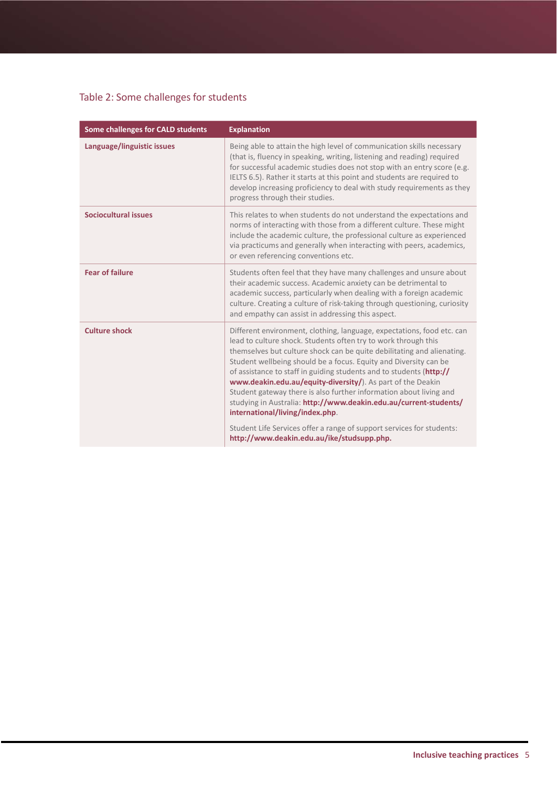### Table 2: Some challenges for students

| Some challenges for CALD students | <b>Explanation</b>                                                                                                                                                                                                                                                                                                                                                                                                                                                                                                                                                                                                                                                                                                                |
|-----------------------------------|-----------------------------------------------------------------------------------------------------------------------------------------------------------------------------------------------------------------------------------------------------------------------------------------------------------------------------------------------------------------------------------------------------------------------------------------------------------------------------------------------------------------------------------------------------------------------------------------------------------------------------------------------------------------------------------------------------------------------------------|
| Language/linguistic issues        | Being able to attain the high level of communication skills necessary<br>(that is, fluency in speaking, writing, listening and reading) required<br>for successful academic studies does not stop with an entry score (e.g.<br>IELTS 6.5). Rather it starts at this point and students are required to<br>develop increasing proficiency to deal with study requirements as they<br>progress through their studies.                                                                                                                                                                                                                                                                                                               |
| Sociocultural issues              | This relates to when students do not understand the expectations and<br>norms of interacting with those from a different culture. These might<br>include the academic culture, the professional culture as experienced<br>via practicums and generally when interacting with peers, academics,<br>or even referencing conventions etc.                                                                                                                                                                                                                                                                                                                                                                                            |
| <b>Fear of failure</b>            | Students often feel that they have many challenges and unsure about<br>their academic success. Academic anxiety can be detrimental to<br>academic success, particularly when dealing with a foreign academic<br>culture. Creating a culture of risk-taking through questioning, curiosity<br>and empathy can assist in addressing this aspect.                                                                                                                                                                                                                                                                                                                                                                                    |
| <b>Culture shock</b>              | Different environment, clothing, language, expectations, food etc. can<br>lead to culture shock. Students often try to work through this<br>themselves but culture shock can be quite debilitating and alienating.<br>Student wellbeing should be a focus. Equity and Diversity can be<br>of assistance to staff in guiding students and to students (http://<br>www.deakin.edu.au/equity-diversity/). As part of the Deakin<br>Student gateway there is also further information about living and<br>studying in Australia: http://www.deakin.edu.au/current-students/<br>international/living/index.php.<br>Student Life Services offer a range of support services for students:<br>http://www.deakin.edu.au/ike/studsupp.php. |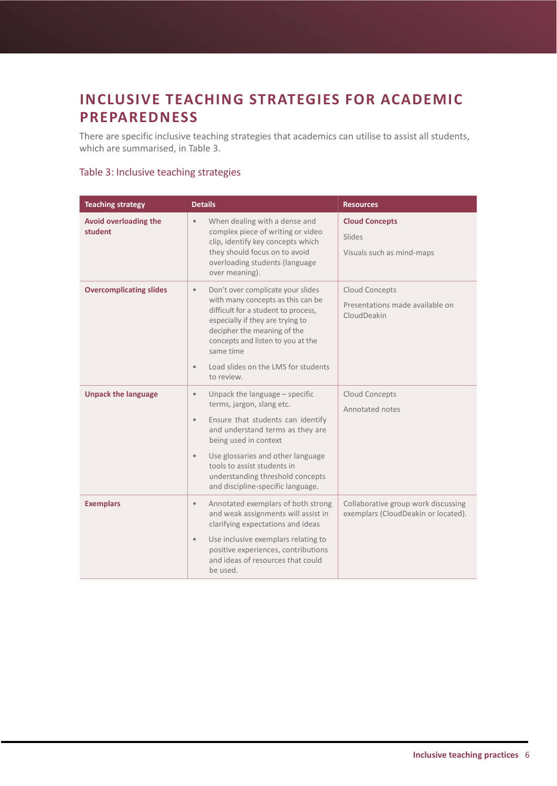# **INCLUSIVE TEACHING STRATEGIES FOR ACADEMIC PREPAREDNESS**

There are specific inclusive teaching strategies that academics can utilise to assist all students, which are summarised, in Table 3.

#### Table 3: Inclusive teaching strategies

| <b>Teaching strategy</b>                | <b>Details</b>                                                                                                                                                                                                                                                                                                                                      | <b>Resources</b>                                                           |
|-----------------------------------------|-----------------------------------------------------------------------------------------------------------------------------------------------------------------------------------------------------------------------------------------------------------------------------------------------------------------------------------------------------|----------------------------------------------------------------------------|
| <b>Avoid overloading the</b><br>student | When dealing with a dense and<br>$\bullet$<br>complex piece of writing or video<br>clip, identify key concepts which<br>they should focus on to avoid<br>overloading students (language<br>over meaning).                                                                                                                                           | <b>Cloud Concepts</b><br>Slides<br>Visuals such as mind-maps               |
| <b>Overcomplicating slides</b>          | Don't over complicate your slides<br>$\bullet$<br>with many concepts as this can be<br>difficult for a student to process,<br>especially if they are trying to<br>decipher the meaning of the<br>concepts and listen to you at the<br>same time<br>Load slides on the LMS for students<br>$\bullet$<br>to review.                                   | Cloud Concepts<br>Presentations made available on<br>CloudDeakin           |
| <b>Unpack the language</b>              | Unpack the language $-$ specific<br>$\bullet$<br>terms, jargon, slang etc.<br>Ensure that students can identify<br>$\bullet$<br>and understand terms as they are<br>being used in context<br>Use glossaries and other language<br>$\bullet$<br>tools to assist students in<br>understanding threshold concepts<br>and discipline-specific language. | Cloud Concepts<br>Annotated notes                                          |
| <b>Exemplars</b>                        | Annotated exemplars of both strong<br>$\bullet$<br>and weak assignments will assist in<br>clarifying expectations and ideas<br>Use inclusive exemplars relating to<br>$\bullet$<br>positive experiences, contributions<br>and ideas of resources that could<br>be used.                                                                             | Collaborative group work discussing<br>exemplars (CloudDeakin or located). |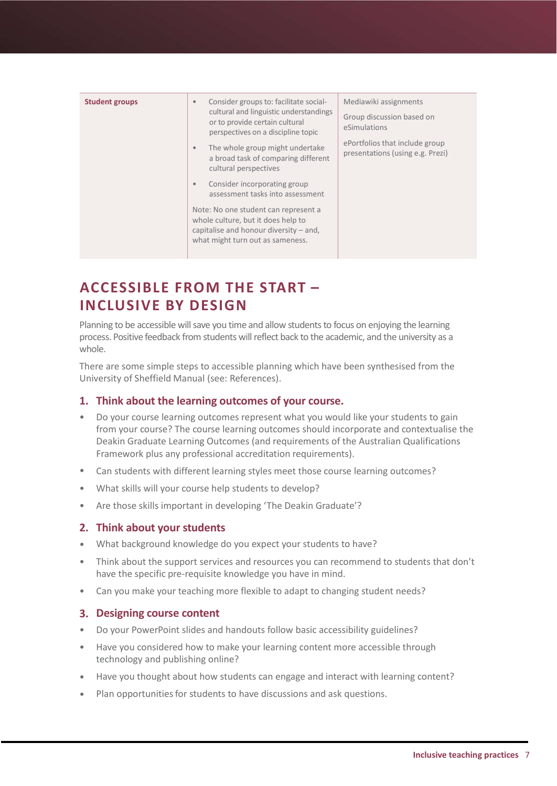| <b>Student groups</b> | Consider groups to: facilitate social-<br>$\bullet$<br>cultural and linguistic understandings<br>or to provide certain cultural<br>perspectives on a discipline topic<br>The whole group might undertake<br>$\bullet$<br>a broad task of comparing different<br>cultural perspectives<br>Consider incorporating group<br>$\bullet$<br>assessment tasks into assessment<br>Note: No one student can represent a<br>whole culture, but it does help to<br>capitalise and honour diversity $-$ and,<br>what might turn out as sameness. | Mediawiki assignments<br>Group discussion based on<br>eSimulations<br>ePortfolios that include group<br>presentations (using e.g. Prezi) |
|-----------------------|--------------------------------------------------------------------------------------------------------------------------------------------------------------------------------------------------------------------------------------------------------------------------------------------------------------------------------------------------------------------------------------------------------------------------------------------------------------------------------------------------------------------------------------|------------------------------------------------------------------------------------------------------------------------------------------|
|                       |                                                                                                                                                                                                                                                                                                                                                                                                                                                                                                                                      |                                                                                                                                          |

# **ACCESSIBLE FROM THE START – INCLUSIVE BY DESIGN**

Planning to be accessible will save you time and allow students to focus on enjoying the learning process. Positive feedback from students will reflect back to the academic, and the university as a whole.

There are some simple steps to accessible planning which have been synthesised from the University of Sheffield Manual (see: References).

### **1. Think about the learning outcomes of your course.**

- Do your course learning outcomes represent what you would like your students to gain from your course? The course learning outcomes should incorporate and contextualise the Deakin Graduate Learning Outcomes (and requirements of the Australian Qualifications Framework plus any professional accreditation requirements).
- Can students with different learning styles meet those course learning outcomes? •
- What skills will your course help students to develop? •
- Are those skills important in developing 'The Deakin Graduate'? •

### **Think about your students 2.**

- What background knowledge do you expect your students to have? •
- Think about the support services and resources you can recommend to students that don't have the specific pre-requisite knowledge you have in mind. •
- Can you make your teaching more flexible to adapt to changing student needs? •

### **Designing course content 3.**

- Do your PowerPoint slides and handouts follow basic accessibility guidelines? •
- Have you considered how to make your learning content more accessible through technology and publishing online? •
- Have you thought about how students can engage and interact with learning content? •
- Plan opportunities for students to have discussions and ask questions. •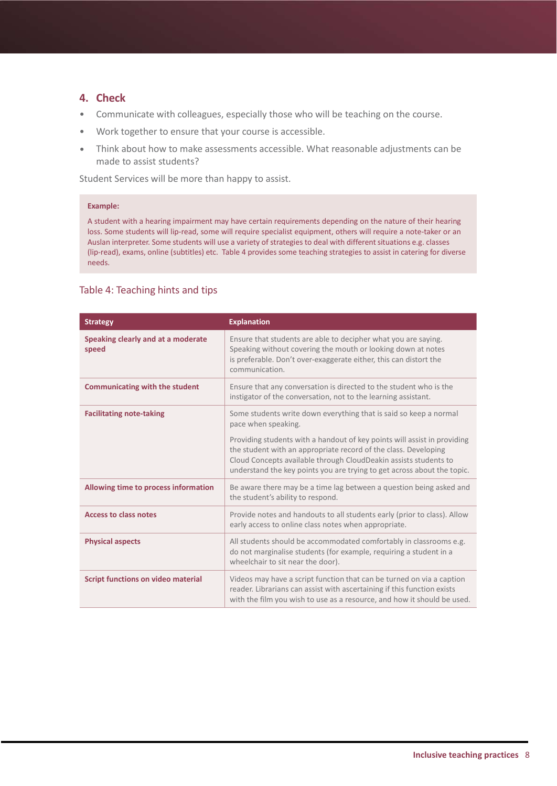### **4. Check**

- Communicate with colleagues, especially those who will be teaching on the course.
- Work together to ensure that your course is accessible.
- Think about how to make assessments accessible. What reasonable adjustments can be made to assist students?

Student Services will be more than happy to assist.

#### **Example:**

A student with a hearing impairment may have certain requirements depending on the nature of their hearing loss. Some students will lip-read, some will require specialist equipment, others will require a note-taker or an Auslan interpreter. Some students will use a variety of strategies to deal with different situations e.g. classes (lip-read), exams, online (subtitles) etc. Table 4 provides some teaching strategies to assist in catering for diverse needs.

#### Table 4: Teaching hints and tips

| <b>Strategy</b>                             | <b>Explanation</b>                                                                                                                                                                                                                                                                         |
|---------------------------------------------|--------------------------------------------------------------------------------------------------------------------------------------------------------------------------------------------------------------------------------------------------------------------------------------------|
| Speaking clearly and at a moderate<br>speed | Ensure that students are able to decipher what you are saying.<br>Speaking without covering the mouth or looking down at notes<br>is preferable. Don't over-exaggerate either, this can distort the<br>communication.                                                                      |
| <b>Communicating with the student</b>       | Ensure that any conversation is directed to the student who is the<br>instigator of the conversation, not to the learning assistant.                                                                                                                                                       |
| <b>Facilitating note-taking</b>             | Some students write down everything that is said so keep a normal<br>pace when speaking.                                                                                                                                                                                                   |
|                                             | Providing students with a handout of key points will assist in providing<br>the student with an appropriate record of the class. Developing<br>Cloud Concepts available through CloudDeakin assists students to<br>understand the key points you are trying to get across about the topic. |
| Allowing time to process information        | Be aware there may be a time lag between a question being asked and<br>the student's ability to respond.                                                                                                                                                                                   |
| <b>Access to class notes</b>                | Provide notes and handouts to all students early (prior to class). Allow<br>early access to online class notes when appropriate.                                                                                                                                                           |
| <b>Physical aspects</b>                     | All students should be accommodated comfortably in classrooms e.g.<br>do not marginalise students (for example, requiring a student in a<br>wheelchair to sit near the door).                                                                                                              |
| <b>Script functions on video material</b>   | Videos may have a script function that can be turned on via a caption<br>reader. Librarians can assist with ascertaining if this function exists<br>with the film you wish to use as a resource, and how it should be used.                                                                |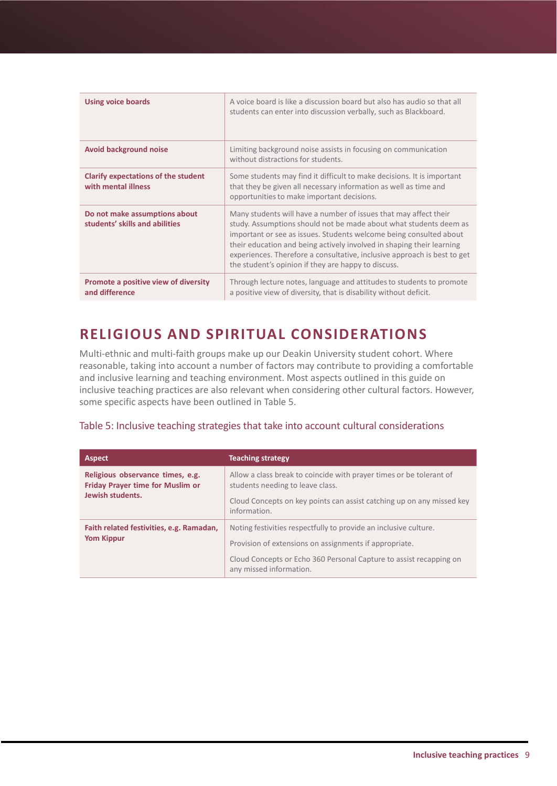| <b>Using voice boards</b>                                         | A voice board is like a discussion board but also has audio so that all<br>students can enter into discussion verbally, such as Blackboard.                                                                                                                                                                                                                                                                             |
|-------------------------------------------------------------------|-------------------------------------------------------------------------------------------------------------------------------------------------------------------------------------------------------------------------------------------------------------------------------------------------------------------------------------------------------------------------------------------------------------------------|
| <b>Avoid background noise</b>                                     | Limiting background noise assists in focusing on communication<br>without distractions for students.                                                                                                                                                                                                                                                                                                                    |
| <b>Clarify expectations of the student</b><br>with mental illness | Some students may find it difficult to make decisions. It is important<br>that they be given all necessary information as well as time and<br>opportunities to make important decisions.                                                                                                                                                                                                                                |
| Do not make assumptions about<br>students' skills and abilities   | Many students will have a number of issues that may affect their<br>study. Assumptions should not be made about what students deem as<br>important or see as issues. Students welcome being consulted about<br>their education and being actively involved in shaping their learning<br>experiences. Therefore a consultative, inclusive approach is best to get<br>the student's opinion if they are happy to discuss. |
| Promote a positive view of diversity<br>and difference            | Through lecture notes, language and attitudes to students to promote<br>a positive view of diversity, that is disability without deficit.                                                                                                                                                                                                                                                                               |

# **RELIGIOUS AND SPIRITUAL CONSIDERATIONS**

Multi-ethnic and multi-faith groups make up our Deakin University student cohort. Where reasonable, taking into account a number of factors may contribute to providing a comfortable and inclusive learning and teaching environment. Most aspects outlined in this guide on inclusive teaching practices are also relevant when considering other cultural factors. However, some specific aspects have been outlined in Table 5.

### Table 5: Inclusive teaching strategies that take into account cultural considerations

| <b>Aspect</b>                                                                            | <b>Teaching strategy</b>                                                                                |
|------------------------------------------------------------------------------------------|---------------------------------------------------------------------------------------------------------|
| Religious observance times, e.g.<br>Friday Prayer time for Muslim or<br>Jewish students. | Allow a class break to coincide with prayer times or be tolerant of<br>students needing to leave class. |
|                                                                                          | Cloud Concepts on key points can assist catching up on any missed key<br>information.                   |
| Faith related festivities, e.g. Ramadan,<br><b>Yom Kippur</b>                            | Noting festivities respectfully to provide an inclusive culture.                                        |
|                                                                                          | Provision of extensions on assignments if appropriate.                                                  |
|                                                                                          | Cloud Concepts or Echo 360 Personal Capture to assist recapping on<br>any missed information.           |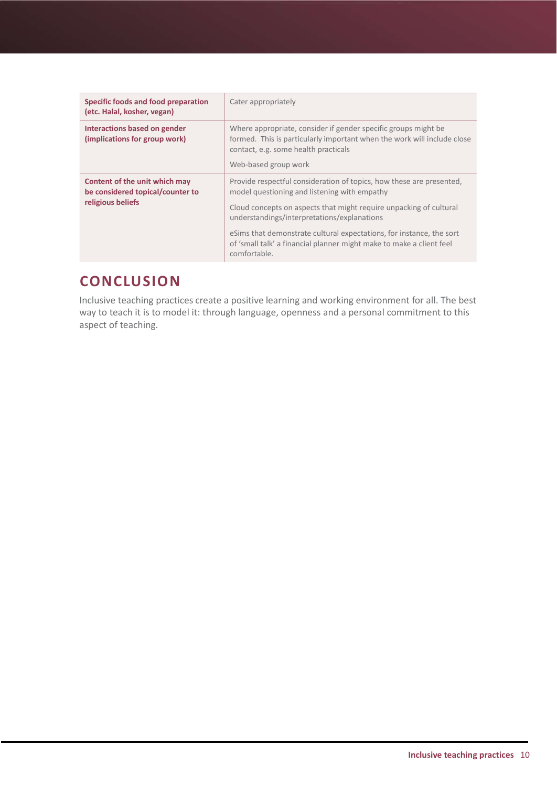| Specific foods and food preparation<br>(etc. Halal, kosher, vegan)                     | Cater appropriately                                                                                                                                                                                                                                                                                                                                                                                       |
|----------------------------------------------------------------------------------------|-----------------------------------------------------------------------------------------------------------------------------------------------------------------------------------------------------------------------------------------------------------------------------------------------------------------------------------------------------------------------------------------------------------|
| Interactions based on gender<br>(implications for group work)                          | Where appropriate, consider if gender specific groups might be<br>formed. This is particularly important when the work will include close<br>contact, e.g. some health practicals<br>Web-based group work                                                                                                                                                                                                 |
| Content of the unit which may<br>be considered topical/counter to<br>religious beliefs | Provide respectful consideration of topics, how these are presented,<br>model questioning and listening with empathy<br>Cloud concepts on aspects that might require unpacking of cultural<br>understandings/interpretations/explanations<br>eSims that demonstrate cultural expectations, for instance, the sort<br>of 'small talk' a financial planner might make to make a client feel<br>comfortable. |

# **CONCLUSION**

Inclusive teaching practices create a positive learning and working environment for all. The best way to teach it is to model it: through language, openness and a personal commitment to this aspect of teaching.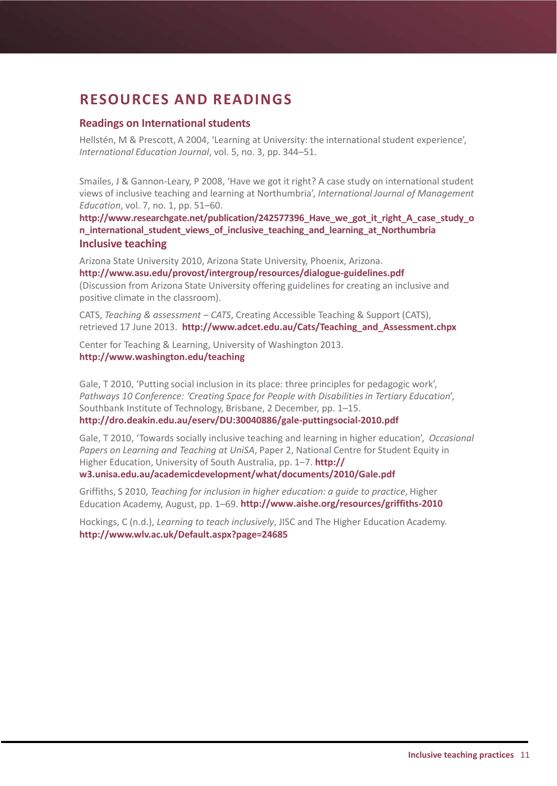# **RESOURCES AND READINGS**

### **Readings on International students**

Hellstén, M & Prescott, A 2004, 'Learning at University: the international student experience', *International Education Journal*, vol. 5, no. 3, pp. 344–51.

Smailes, J & Gannon-Leary, P 2008, 'Have we got it right? A case study on international student views of inclusive teaching and learning at Northumbria', *International Journal of Management Education*, vol. 7, no. 1, pp. 51–60.

**[http://www.researchgate.net/publication/242577396\\_Have\\_we\\_got\\_it\\_right\\_A\\_case\\_study\\_o](http://www.researchgate.net/publication/242577396_Have_we_got_it_right_A_case_study_on_international_student_views_of_inclusive_teaching_and_learning_at_Northumbria) [n\\_international\\_student\\_views\\_of\\_inclusive\\_teaching\\_and\\_learning\\_at\\_Northumbria](http://www.researchgate.net/publication/242577396_Have_we_got_it_right_A_case_study_on_international_student_views_of_inclusive_teaching_and_learning_at_Northumbria) Inclusive teaching**

Arizona State University 2010, Arizona State University, Phoenix, Arizona. **<http://www.asu.edu/provost/intergroup/resources/dialogue-guidelines.pdf>** (Discussion from Arizona State University offering guidelines for creating an inclusive and positive climate in the classroom).

CATS, *Teaching & assessment – CATS*, Creating Accessible Teaching & Support (CATS), retrieved 17 June 2013. **[http://www.adcet.edu.au/Cats/Teaching\\_and\\_Assessment.chpx](http://www.adcet.edu.au/Cats/Teaching_and_Assessment.chpx)**

Center for Teaching & Learning, University of Washington 2013. **<http://www.washington.edu/teaching>**

Gale, T 2010, 'Putting social inclusion in its place: three principles for pedagogic work', *Pathways 10 Conference: 'Creating Space for People with Disabilitiesin Tertiary Education*', Southbank Institute of Technology, Brisbane, 2 December, pp. 1–15. **<http://dro.deakin.edu.au/eserv/DU:30040886/gale-puttingsocial-2010.pdf>**

Gale, T 2010, 'Towards socially inclusive teaching and learning in higher education', *Occasional Papers on Learning and Teaching at UniSA*, Paper 2, National Centre for Student Equity in Higher Education, University of South Australia, pp. 1–7. **http:// w3.unisa.edu.au/academicdevelopment/what/documents/2010/Gale.pdf**

Griffiths, S 2010, *Teaching for inclusion in higher education: a guide to practice*, Higher Education Academy, August, pp. 1–69. **http://www.aishe.org/resources/griffiths-2010**

Hockings, C (n.d.), *Learning to teach inclusively*, JISC and The Higher Education Academy. **<http://www.wlv.ac.uk/Default.aspx?page=24685>**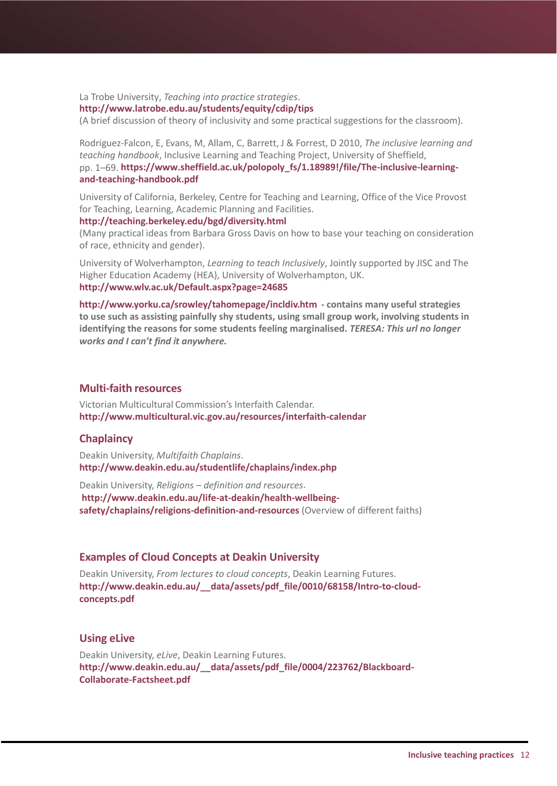La Trobe University, *Teaching into practice strategies*.

#### **http://www.latrobe.edu.au/students/equity/cdip/tips**

(A brief discussion of theory of inclusivity and some practical suggestions for the classroom).

Rodriguez-Falcon, E, Evans, M, Allam, C, Barrett, J & Forrest, D 2010, *The inclusive learning and teaching handbook*, Inclusive Learning and Teaching Project, University of Sheffield, pp. 1–69. **[https://www.sheffield.ac.uk/polopoly\\_fs/1.18989!/file/The-inclusive-learning](https://www.sheffield.ac.uk/polopoly_fs/1.18989%21/file/The-inclusive-learning-and-teaching-handbook.pdf)[and-teaching-handbook.pdf](https://www.sheffield.ac.uk/polopoly_fs/1.18989%21/file/The-inclusive-learning-and-teaching-handbook.pdf)**

University of California, Berkeley, Centre for Teaching and Learning, Office of the Vice Provost for Teaching, Learning, Academic Planning and Facilities.

#### **<http://teaching.berkeley.edu/bgd/diversity.html>**

(Many practical ideas from Barbara Gross Davis on how to base your teaching on consideration of race, ethnicity and gender).

University of Wolverhampton, *Learning to teach Inclusively*, Jointly supported by JISC and The Higher Education Academy (HEA), University of Wolverhampton, UK. **<http://www.wlv.ac.uk/Default.aspx?page=24685>**

**<http://www.yorku.ca/srowley/tahomepage/incldiv.htm> - contains many useful strategies to use such as assisting painfully shy students, using small group work, involving students in identifying the reasons for some students feeling marginalised.** *TERESA: This url no longer works and I can't find it anywhere.*

### **Multi-faith resources**

Victorian Multicultural Commission's Interfaith Calendar. **http://www.multicultural.vic.gov.au/resources/interfaith-calendar**

#### **Chaplaincy**

Deakin University, *Multifaith Chaplains*. **<http://www.deakin.edu.au/studentlife/chaplains/index.php>**

Deakin University, *Religions – definition and resources*. **http://www.deakin.edu.au/life-at-deakin/health-wellbeingsafety/chaplains/religions-definition-and-resources** (Overview of different faiths)

#### **Examples of Cloud Concepts at Deakin University**

Deakin University, *From lectures to cloud concepts*, Deakin Learning Futures. **[http://www.deakin.edu.au/\\_\\_data/assets/pdf\\_file/0010/68158/Intro-to-cloud](http://www.deakin.edu.au/__data/assets/pdf_file/0010/68158/Intro-to-cloud-concepts.pdf)[concepts.pdf](http://www.deakin.edu.au/__data/assets/pdf_file/0010/68158/Intro-to-cloud-concepts.pdf)**

#### **Using eLive**

Deakin University, *eLive*, Deakin Learning Futures. **[http://www.deakin.edu.au/\\_\\_data/assets/pdf\\_file/0004/223762/Blackboard-](http://www.deakin.edu.au/__data/assets/pdf_file/0004/223762/Blackboard-Collaborate-Factsheet.pdf)[Collaborate-Factsheet.pdf](http://www.deakin.edu.au/__data/assets/pdf_file/0004/223762/Blackboard-Collaborate-Factsheet.pdf)**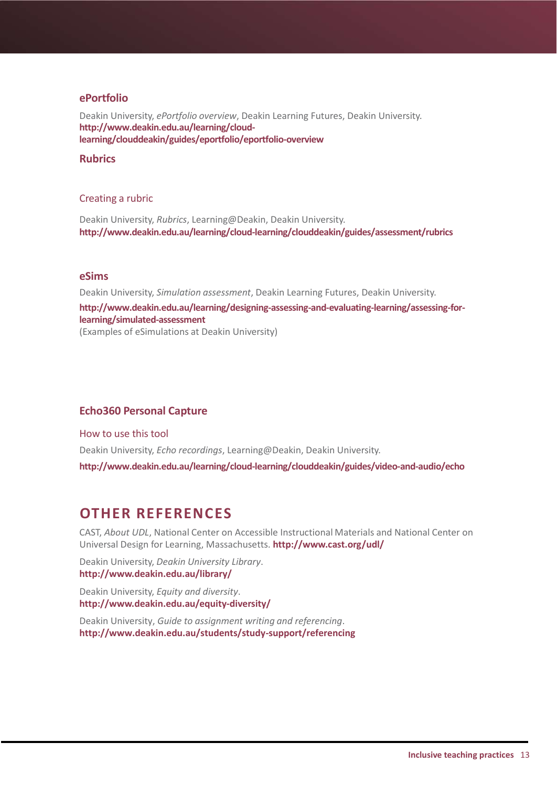#### **ePortfolio**

Deakin University, *ePortfolio overview*, Deakin Learning Futures, Deakin University. **http://www.deakin.edu.au/learning/cloudlearning/clouddeakin/guides/eportfolio/eportfolio-overview**

#### **Rubrics**

#### Creating a rubric

Deakin University, *Rubrics*, Learning@Deakin, Deakin University. **http://www.deakin.edu.au/learning/cloud-learning/clouddeakin/guides/assessment/rubrics** 

#### **eSims**

Deakin University, *Simulation assessment*, Deakin Learning Futures, Deakin University. **http://www.deakin.edu.au/learning/designing-assessing-and-evaluating-learning/assessing-forlearning/simulated-assessment** (Examples of eSimulations at Deakin University)

#### **Echo360 Personal Capture**

How to use this tool Deakin University, *Echo recordings*, Learning@Deakin, Deakin University. **http://www.deakin.edu.au/learning/cloud-learning/clouddeakin/guides/video-and-audio/echo**

### **OTHER REFERENCES**

CAST, *About UDL*, National Center on Accessible Instructional Materials and National Center on Universal Design for Learning, Massachusetts. **[http://www.cast.org/](http://www.cast.org/udl)udl/**

Deakin University, *Deakin University Library*. **<http://www.deakin.edu.au/library>/**

Deakin University, *Equity and diversity*. **[http://www.deakin.edu.au/equity-](http://www.deakin.edu.au/equity)diversity/**

Deakin University, *Guide to assignment writing and referencing*. **http://www.deakin.edu.au/students/study-support/referencing**